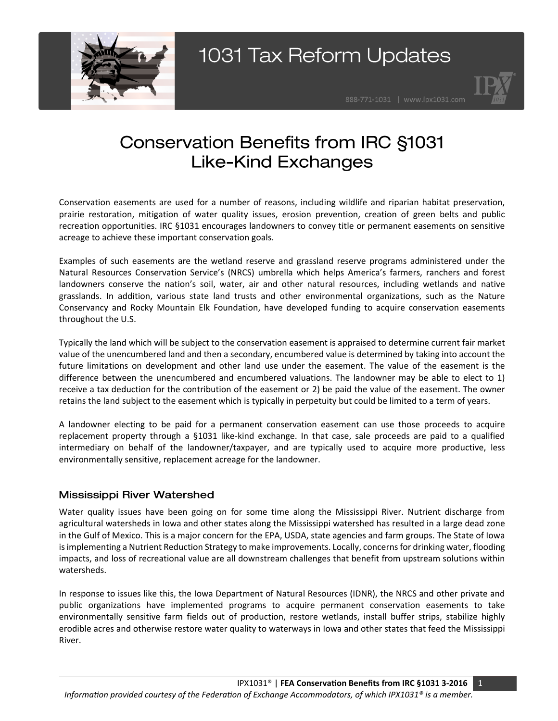



## **Conservation Benefits from IRC §1031 Like-Kind Exchanges**

Conservation easements are used for a number of reasons, including wildlife and riparian habitat preservation, prairie restoration, mitigation of water quality issues, erosion prevention, creation of green belts and public recreation opportunities. IRC §1031 encourages landowners to convey title or permanent easements on sensitive acreage to achieve these important conservation goals.

Examples of such easements are the wetland reserve and grassland reserve programs administered under the Natural Resources Conservation Service's (NRCS) umbrella which helps America's farmers, ranchers and forest landowners conserve the nation's soil, water, air and other natural resources, including wetlands and native grasslands. In addition, various state land trusts and other environmental organizations, such as the Nature Conservancy and Rocky Mountain Elk Foundation, have developed funding to acquire conservation easements throughout the U.S.

Typically the land which will be subject to the conservation easement is appraised to determine current fair market value of the unencumbered land and then a secondary, encumbered value is determined by taking into account the future limitations on development and other land use under the easement. The value of the easement is the difference between the unencumbered and encumbered valuations. The landowner may be able to elect to 1) receive a tax deduction for the contribution of the easement or 2) be paid the value of the easement. The owner retains the land subject to the easement which is typically in perpetuity but could be limited to a term of years.

A landowner electing to be paid for a permanent conservation easement can use those proceeds to acquire replacement property through a §1031 like-kind exchange. In that case, sale proceeds are paid to a qualified intermediary on behalf of the landowner/taxpayer, and are typically used to acquire more productive, less environmentally sensitive, replacement acreage for the landowner.

### **Mississippi River Watershed**

Water quality issues have been going on for some time along the Mississippi River. Nutrient discharge from agricultural watersheds in Iowa and other states along the Mississippi watershed has resulted in a large dead zone in the Gulf of Mexico. This is a major concern for the EPA, USDA, state agencies and farm groups. The State of Iowa is implementing a Nutrient Reduction Strategy to make improvements. Locally, concerns for drinking water, flooding impacts, and loss of recreational value are all downstream challenges that benefit from upstream solutions within watersheds.

In response to issues like this, the Iowa Department of Natural Resources (IDNR), the NRCS and other private and public organizations have implemented programs to acquire permanent conservation easements to take environmentally sensitive farm fields out of production, restore wetlands, install buffer strips, stabilize highly erodible acres and otherwise restore water quality to waterways in Iowa and other states that feed the Mississippi River.